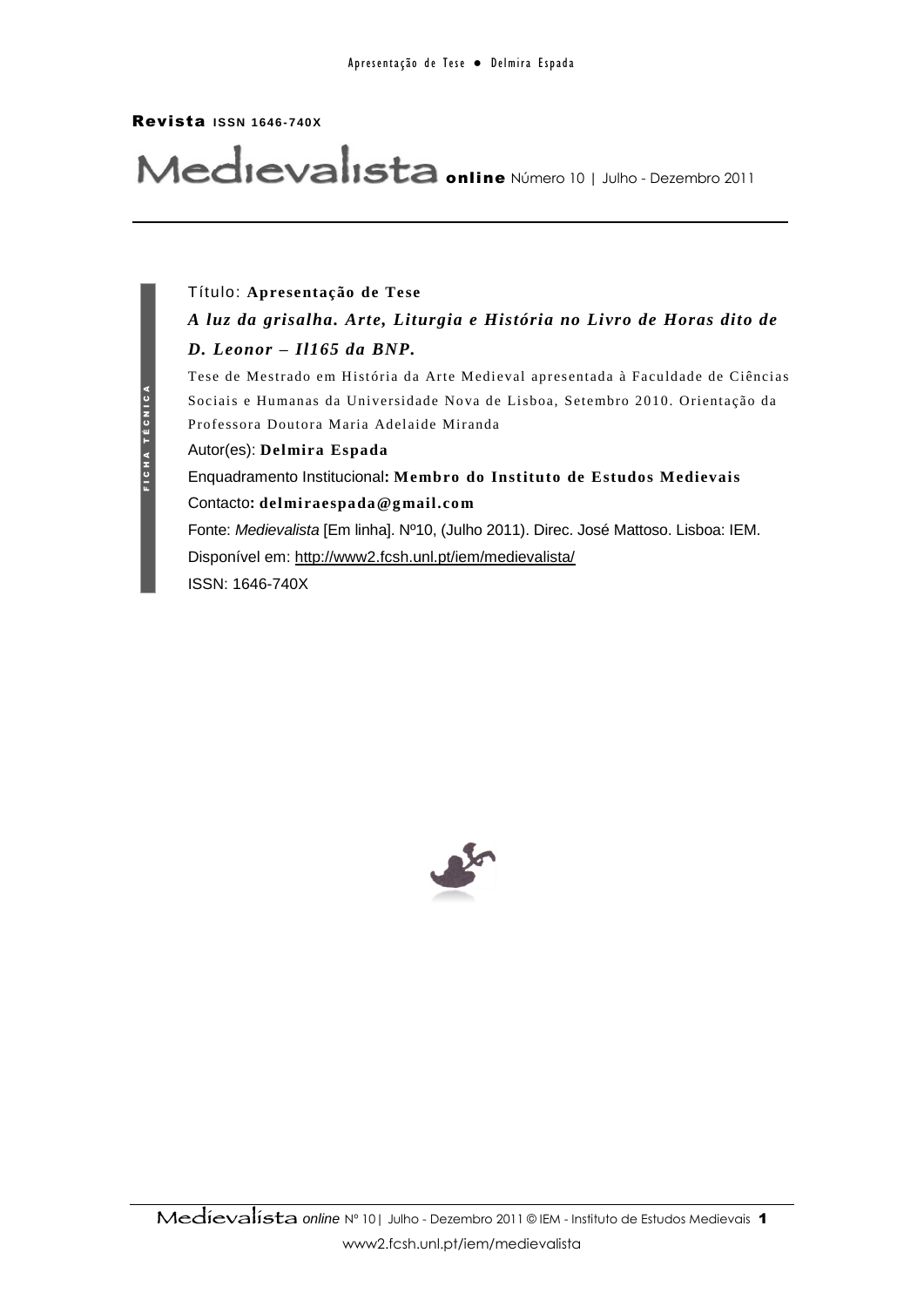#### Revista **ISSN 1646- 740X**

# Medievalista **online** Número 10 | Julho - Dezembro 2011

## Título: **Apresentação de Tese** *A luz da grisalha. Arte, Liturgia e História no Livro de Horas dito de D. Leonor – Il165 da BNP.*

Tese de Mestrado em História da Arte Medieval apresentada à Faculdade de Ciências Sociais e Humanas da Universidade Nova de Lisboa, Setembro 2010. Orientação da Professora Doutora Maria Adelaide Miranda

Autor(es): **Delmira Espada**

Enquadramento Institucional**: Membro do Instituto de Estudos Medievais** Contacto**: delmiraespada@g mail.co m**

Fonte: *Medievalista* [Em linha]. Nº10, (Julho 2011). Direc. José Mattoso. Lisboa: IEM. Disponível em: http://www2.fcsh.unl.pt/iem/medievalista/ ISSN: 1646-740X

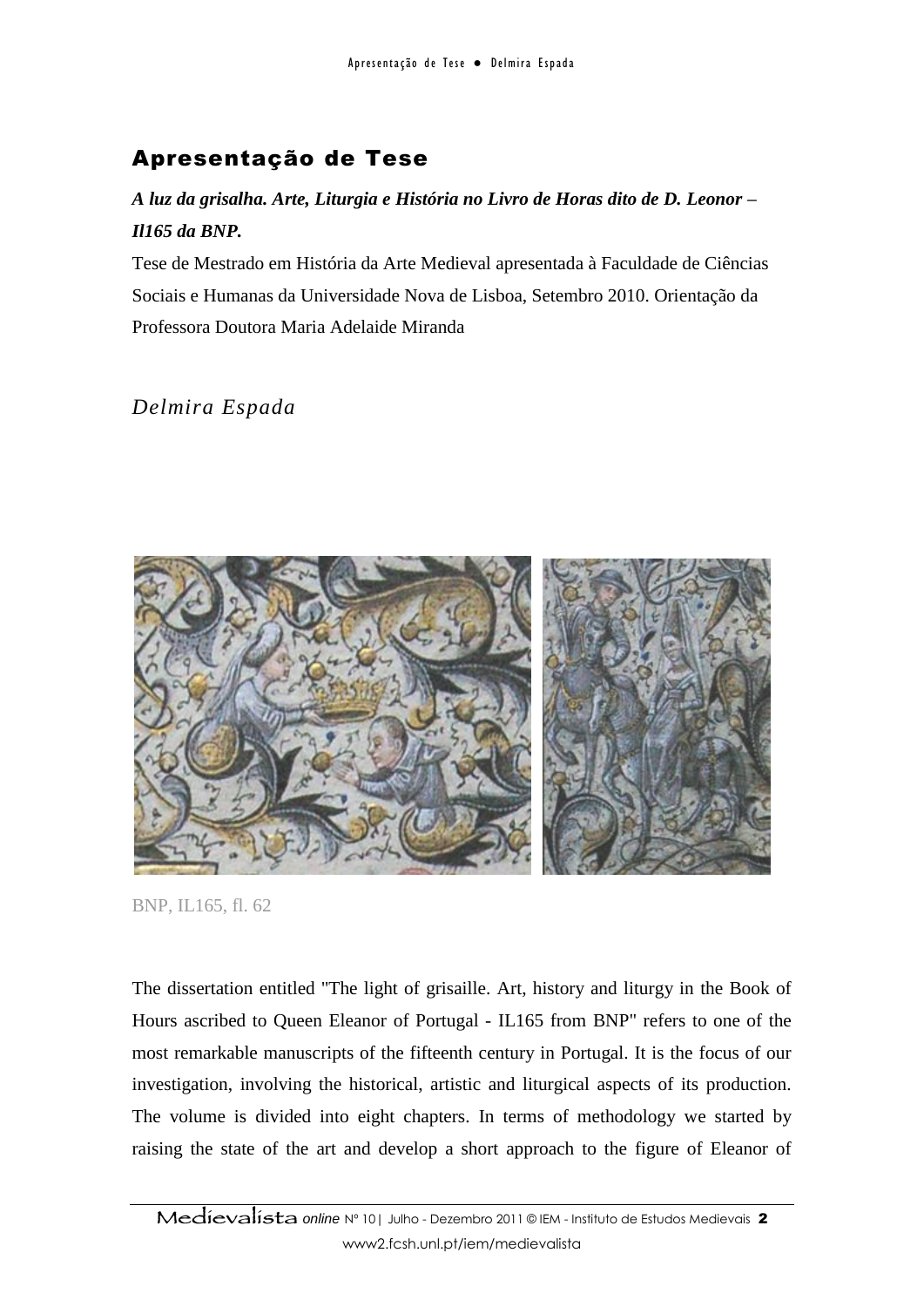## Apresentação de Tese

### *A luz da grisalha. Arte, Liturgia e História no Livro de Horas dito de D. Leonor – Il165 da BNP.*

Tese de Mestrado em História da Arte Medieval apresentada à Faculdade de Ciências Sociais e Humanas da Universidade Nova de Lisboa, Setembro 2010. Orientação da Professora Doutora Maria Adelaide Miranda

*Delmira Espada*



BNP, IL165, fl. 62

The dissertation entitled "The light of grisaille. Art, history and liturgy in the Book of Hours ascribed to Queen Eleanor of Portugal - IL165 from BNP" refers to one of the most remarkable manuscripts of the fifteenth century in Portugal. It is the focus of our investigation, involving the historical, artistic and liturgical aspects of its production. The volume is divided into eight chapters. In terms of methodology we started by raising the state of the art and develop a short approach to the figure of Eleanor of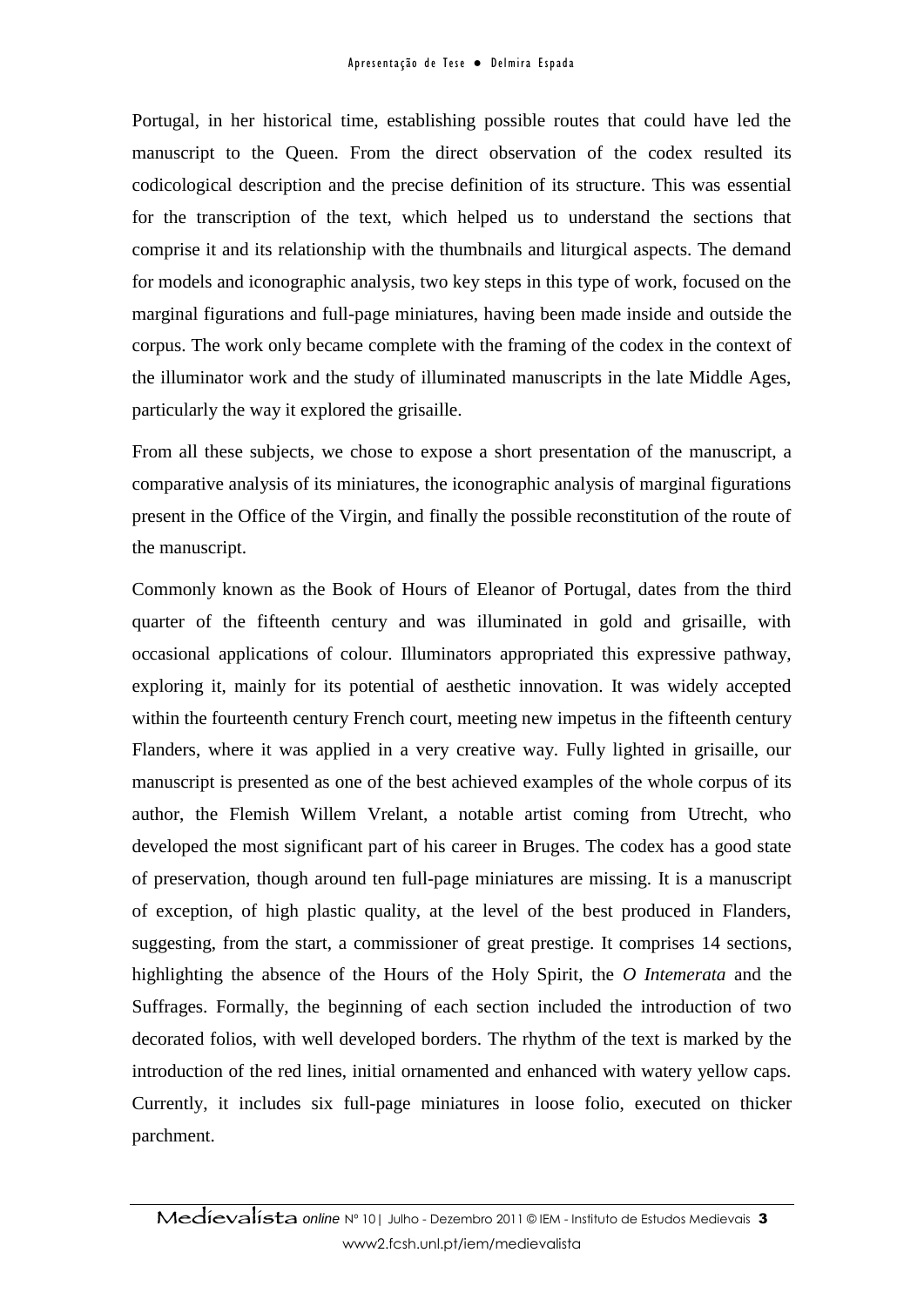Portugal, in her historical time, establishing possible routes that could have led the manuscript to the Queen. From the direct observation of the codex resulted its codicological description and the precise definition of its structure. This was essential for the transcription of the text, which helped us to understand the sections that comprise it and its relationship with the thumbnails and liturgical aspects. The demand for models and iconographic analysis, two key steps in this type of work, focused on the marginal figurations and full-page miniatures, having been made inside and outside the corpus. The work only became complete with the framing of the codex in the context of the illuminator work and the study of illuminated manuscripts in the late Middle Ages, particularly the way it explored the grisaille.

From all these subjects, we chose to expose a short presentation of the manuscript, a comparative analysis of its miniatures, the iconographic analysis of marginal figurations present in the Office of the Virgin, and finally the possible reconstitution of the route of the manuscript.

Commonly known as the Book of Hours of Eleanor of Portugal, dates from the third quarter of the fifteenth century and was illuminated in gold and grisaille, with occasional applications of colour. Illuminators appropriated this expressive pathway, exploring it, mainly for its potential of aesthetic innovation. It was widely accepted within the fourteenth century French court, meeting new impetus in the fifteenth century Flanders, where it was applied in a very creative way. Fully lighted in grisaille, our manuscript is presented as one of the best achieved examples of the whole corpus of its author, the Flemish Willem Vrelant, a notable artist coming from Utrecht, who developed the most significant part of his career in Bruges. The codex has a good state of preservation, though around ten full-page miniatures are missing. It is a manuscript of exception, of high plastic quality, at the level of the best produced in Flanders, suggesting, from the start, a commissioner of great prestige. It comprises 14 sections, highlighting the absence of the Hours of the Holy Spirit, the *O Intemerata* and the Suffrages. Formally, the beginning of each section included the introduction of two decorated folios, with well developed borders. The rhythm of the text is marked by the introduction of the red lines, initial ornamented and enhanced with watery yellow caps. Currently, it includes six full-page miniatures in loose folio, executed on thicker parchment.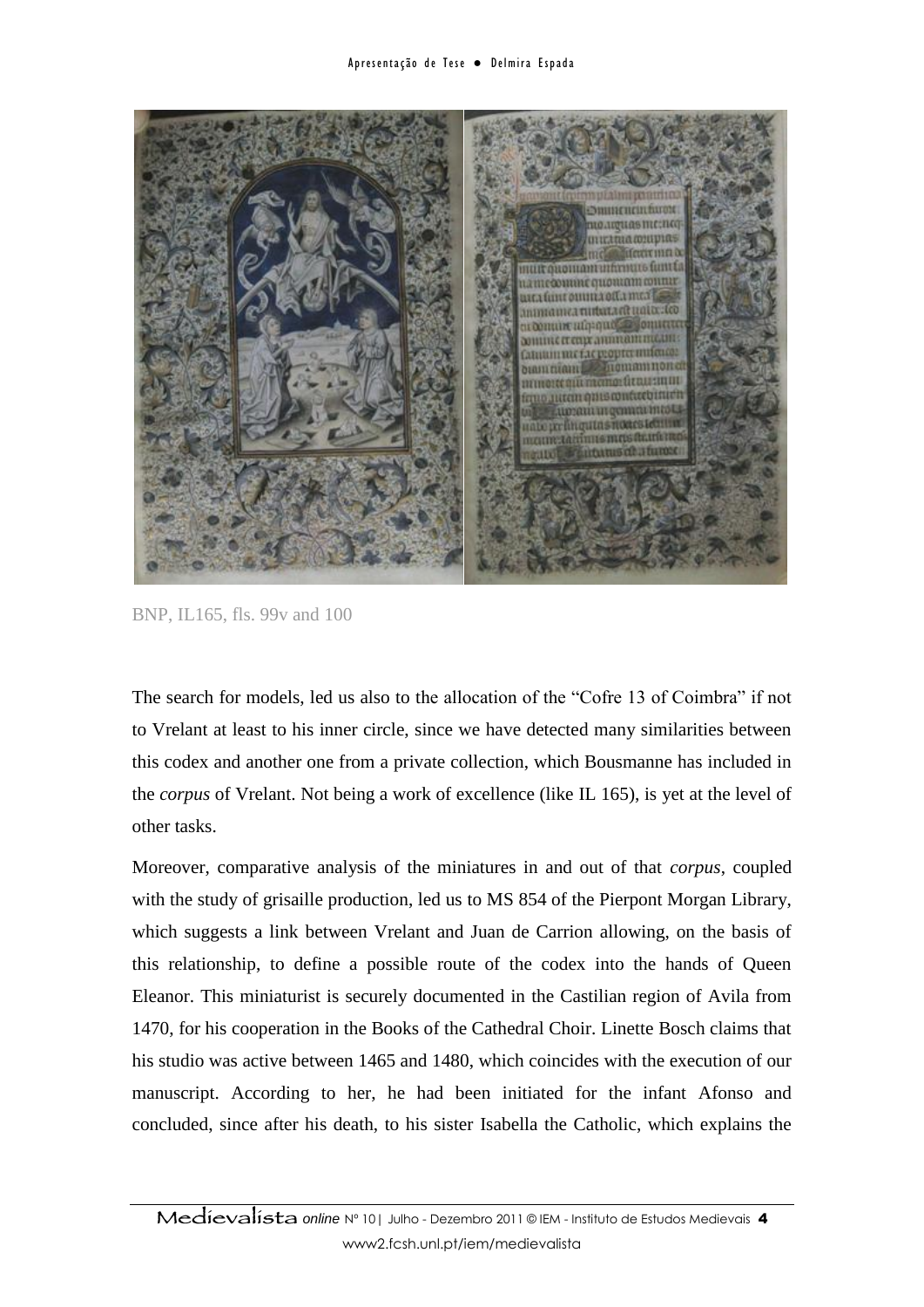

BNP, IL165, fls. 99v and 100

The search for models, led us also to the allocation of the "Cofre 13 of Coimbra" if not to Vrelant at least to his inner circle, since we have detected many similarities between this codex and another one from a private collection, which Bousmanne has included in the *corpus* of Vrelant. Not being a work of excellence (like IL 165), is yet at the level of other tasks.

Moreover, comparative analysis of the miniatures in and out of that *corpus*, coupled with the study of grisaille production, led us to MS 854 of the Pierpont Morgan Library, which suggests a link between Vrelant and Juan de Carrion allowing, on the basis of this relationship, to define a possible route of the codex into the hands of Queen Eleanor. This miniaturist is securely documented in the Castilian region of Avila from 1470, for his cooperation in the Books of the Cathedral Choir. Linette Bosch claims that his studio was active between 1465 and 1480, which coincides with the execution of our manuscript. According to her, he had been initiated for the infant Afonso and concluded, since after his death, to his sister Isabella the Catholic, which explains the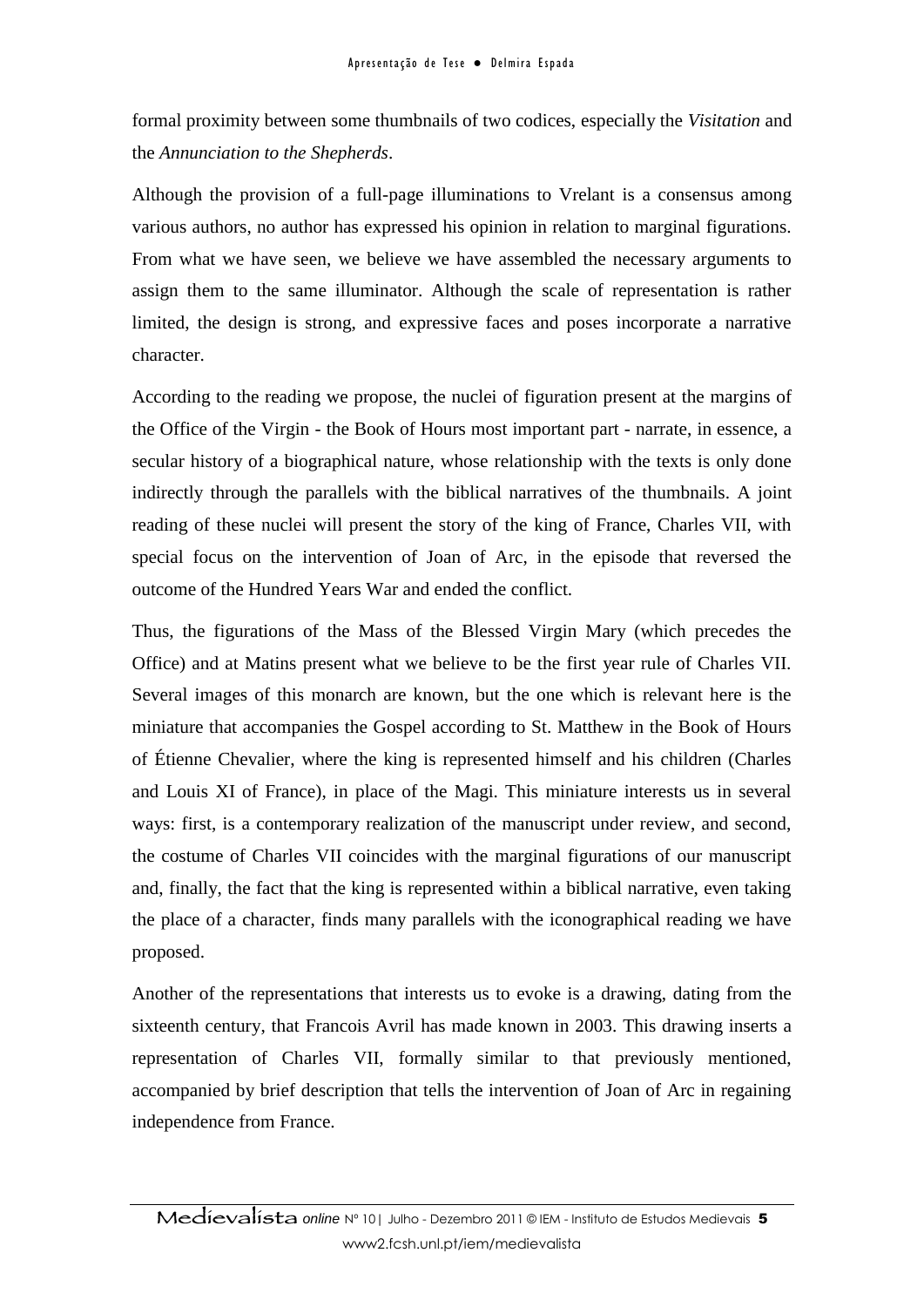formal proximity between some thumbnails of two codices, especially the *Visitation* and the *Annunciation to the Shepherds*.

Although the provision of a full-page illuminations to Vrelant is a consensus among various authors, no author has expressed his opinion in relation to marginal figurations. From what we have seen, we believe we have assembled the necessary arguments to assign them to the same illuminator. Although the scale of representation is rather limited, the design is strong, and expressive faces and poses incorporate a narrative character.

According to the reading we propose, the nuclei of figuration present at the margins of the Office of the Virgin - the Book of Hours most important part - narrate, in essence, a secular history of a biographical nature, whose relationship with the texts is only done indirectly through the parallels with the biblical narratives of the thumbnails. A joint reading of these nuclei will present the story of the king of France, Charles VII, with special focus on the intervention of Joan of Arc, in the episode that reversed the outcome of the Hundred Years War and ended the conflict.

Thus, the figurations of the Mass of the Blessed Virgin Mary (which precedes the Office) and at Matins present what we believe to be the first year rule of Charles VII. Several images of this monarch are known, but the one which is relevant here is the miniature that accompanies the Gospel according to St. Matthew in the Book of Hours of Étienne Chevalier, where the king is represented himself and his children (Charles and Louis XI of France), in place of the Magi. This miniature interests us in several ways: first, is a contemporary realization of the manuscript under review, and second, the costume of Charles VII coincides with the marginal figurations of our manuscript and, finally, the fact that the king is represented within a biblical narrative, even taking the place of a character, finds many parallels with the iconographical reading we have proposed.

Another of the representations that interests us to evoke is a drawing, dating from the sixteenth century, that Francois Avril has made known in 2003. This drawing inserts a representation of Charles VII, formally similar to that previously mentioned, accompanied by brief description that tells the intervention of Joan of Arc in regaining independence from France.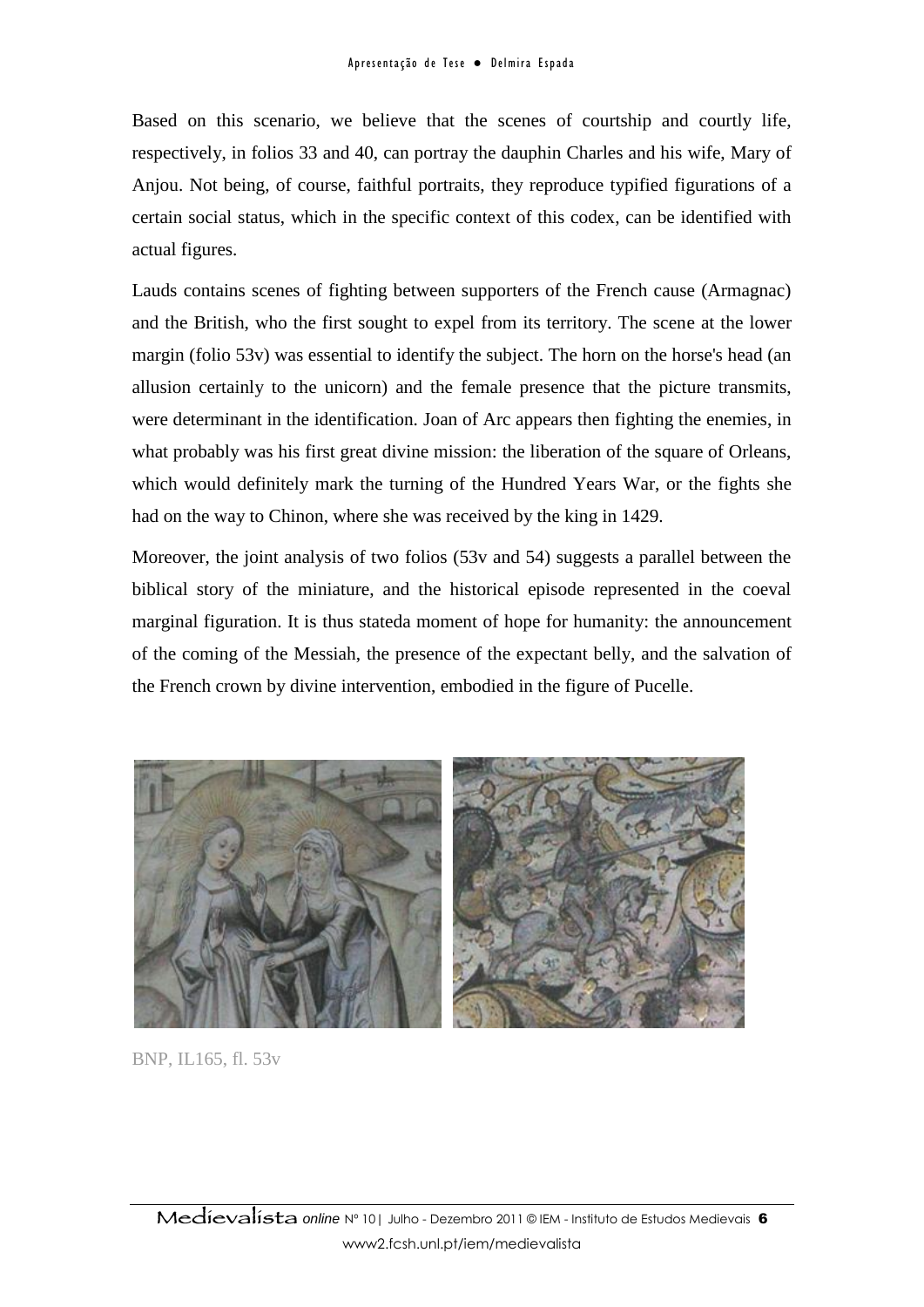Based on this scenario, we believe that the scenes of courtship and courtly life, respectively, in folios 33 and 40, can portray the dauphin Charles and his wife, Mary of Anjou. Not being, of course, faithful portraits, they reproduce typified figurations of a certain social status, which in the specific context of this codex, can be identified with actual figures.

Lauds contains scenes of fighting between supporters of the French cause (Armagnac) and the British, who the first sought to expel from its territory. The scene at the lower margin (folio 53v) was essential to identify the subject. The horn on the horse's head (an allusion certainly to the unicorn) and the female presence that the picture transmits, were determinant in the identification. Joan of Arc appears then fighting the enemies, in what probably was his first great divine mission: the liberation of the square of Orleans, which would definitely mark the turning of the Hundred Years War, or the fights she had on the way to Chinon, where she was received by the king in 1429.

Moreover, the joint analysis of two folios (53v and 54) suggests a parallel between the biblical story of the miniature, and the historical episode represented in the coeval marginal figuration. It is thus stateda moment of hope for humanity: the announcement of the coming of the Messiah, the presence of the expectant belly, and the salvation of the French crown by divine intervention, embodied in the figure of Pucelle.



BNP, IL165, fl. 53v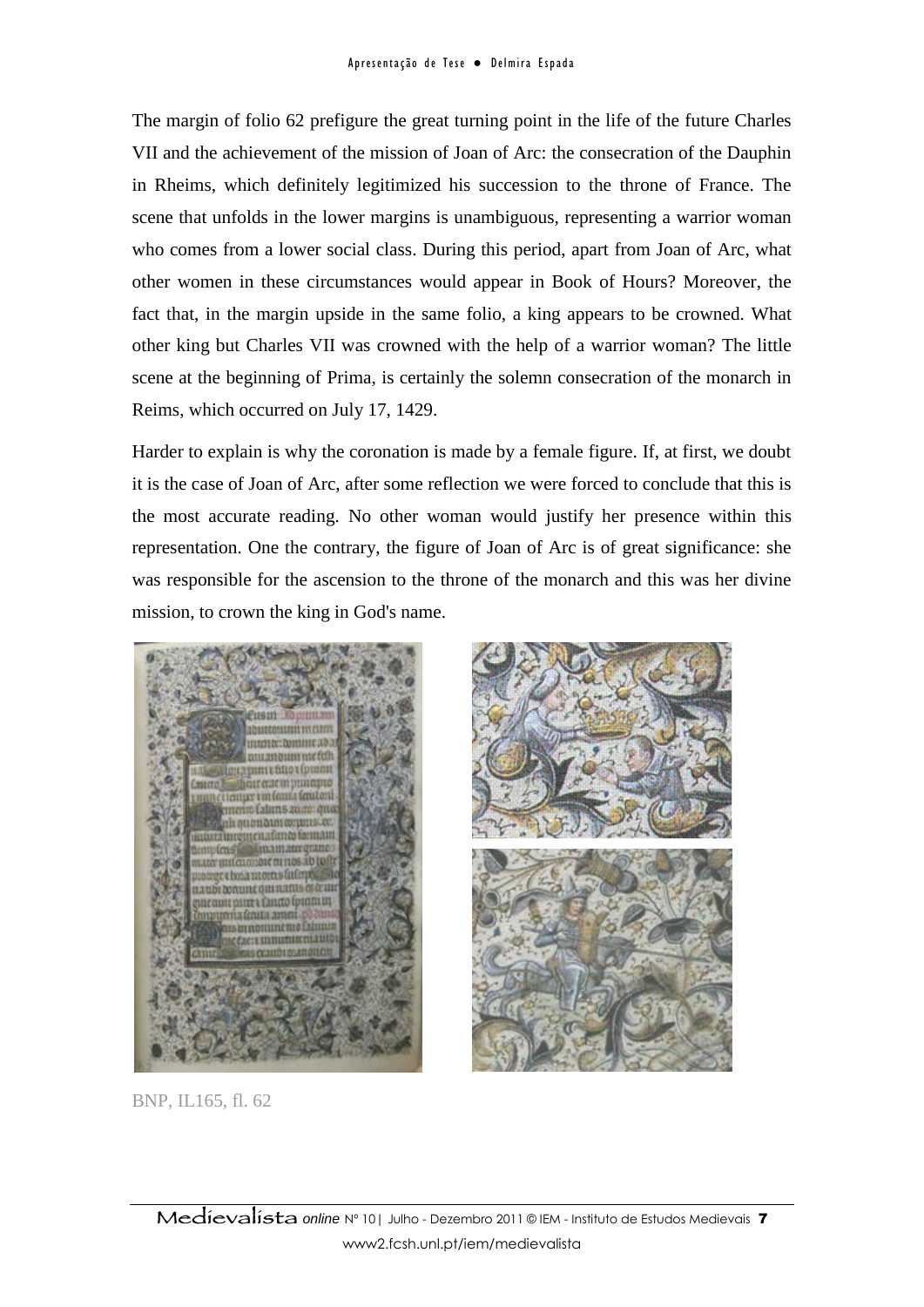The margin of folio 62 prefigure the great turning point in the life of the future Charles VII and the achievement of the mission of Joan of Arc: the consecration of the Dauphin in Rheims, which definitely legitimized his succession to the throne of France. The scene that unfolds in the lower margins is unambiguous, representing a warrior woman who comes from a lower social class. During this period, apart from Joan of Arc, what other women in these circumstances would appear in Book of Hours? Moreover, the fact that, in the margin upside in the same folio, a king appears to be crowned. What other king but Charles VII was crowned with the help of a warrior woman? The little scene at the beginning of Prima, is certainly the solemn consecration of the monarch in Reims, which occurred on July 17, 1429.

Harder to explain is why the coronation is made by a female figure. If, at first, we doubt it is the case of Joan of Arc, after some reflection we were forced to conclude that this is the most accurate reading. No other woman would justify her presence within this representation. One the contrary, the figure of Joan of Arc is of great significance: she was responsible for the ascension to the throne of the monarch and this was her divine mission, to crown the king in God's name.





BNP, IL165, fl. 62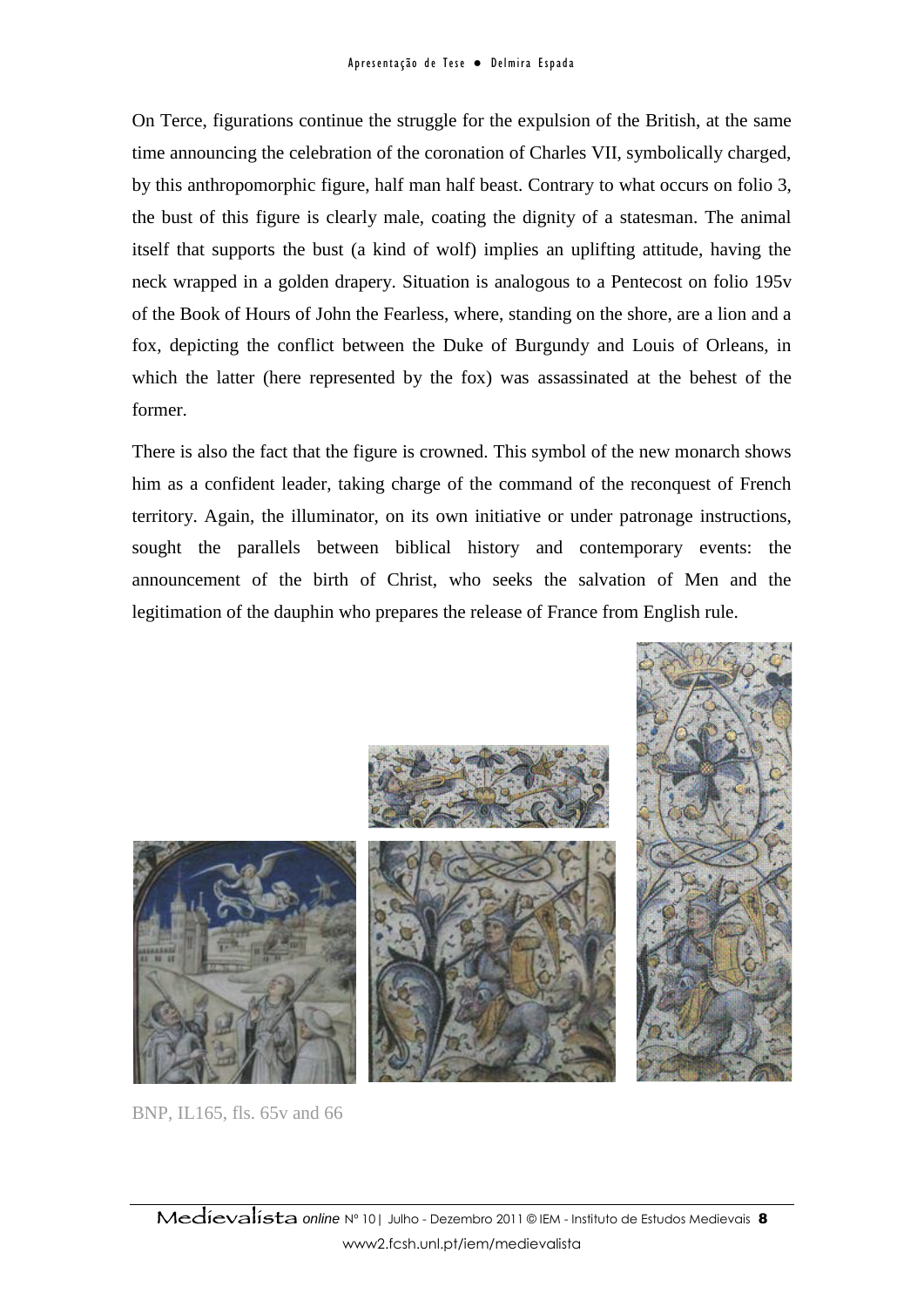On Terce, figurations continue the struggle for the expulsion of the British, at the same time announcing the celebration of the coronation of Charles VII, symbolically charged, by this anthropomorphic figure, half man half beast. Contrary to what occurs on folio 3, the bust of this figure is clearly male, coating the dignity of a statesman. The animal itself that supports the bust (a kind of wolf) implies an uplifting attitude, having the neck wrapped in a golden drapery. Situation is analogous to a Pentecost on folio 195v of the Book of Hours of John the Fearless, where, standing on the shore, are a lion and a fox, depicting the conflict between the Duke of Burgundy and Louis of Orleans, in which the latter (here represented by the fox) was assassinated at the behest of the former.

There is also the fact that the figure is crowned. This symbol of the new monarch shows him as a confident leader, taking charge of the command of the reconquest of French territory. Again, the illuminator, on its own initiative or under patronage instructions, sought the parallels between biblical history and contemporary events: the announcement of the birth of Christ, who seeks the salvation of Men and the legitimation of the dauphin who prepares the release of France from English rule.



BNP, IL165, fls. 65v and 66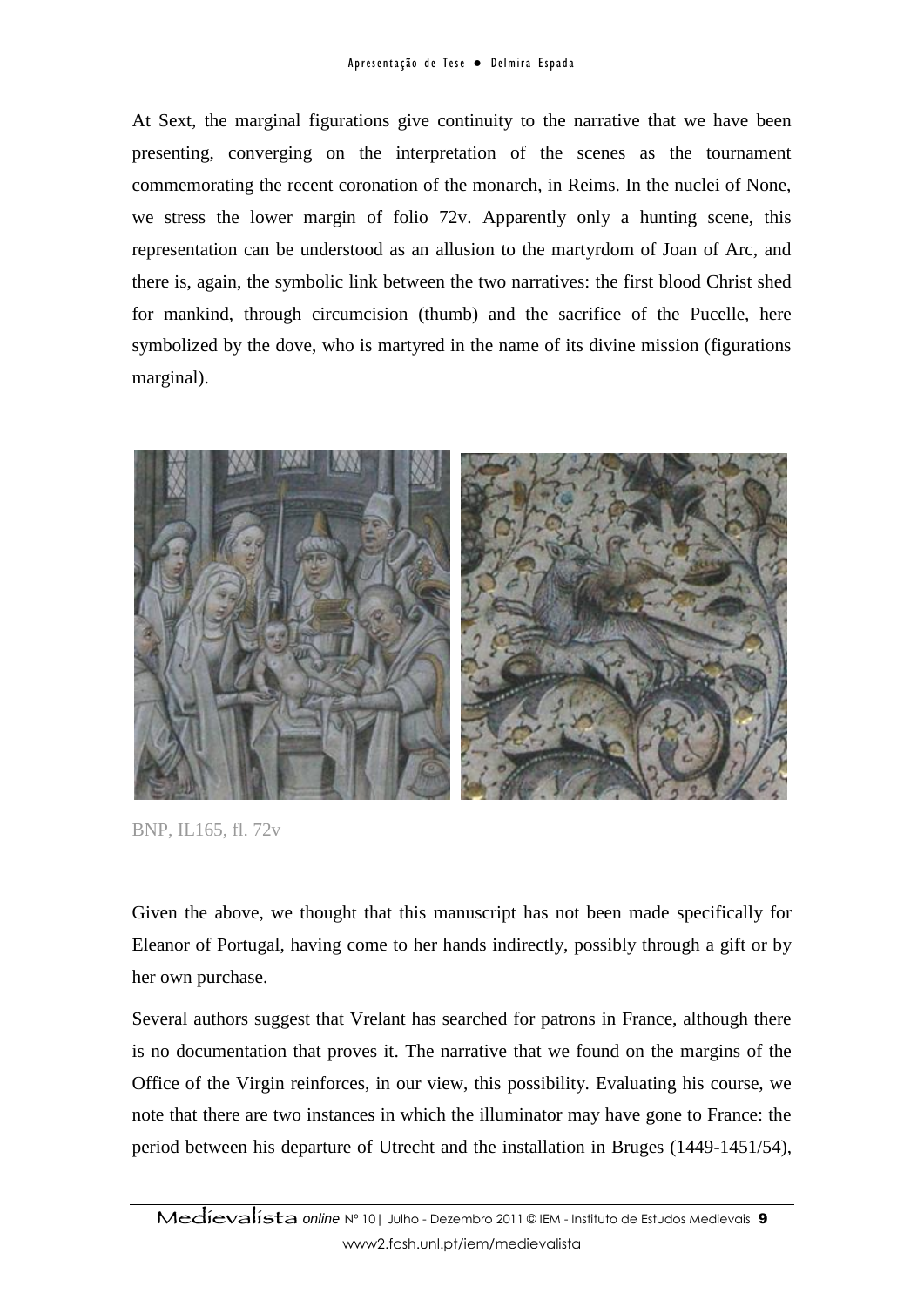At Sext, the marginal figurations give continuity to the narrative that we have been presenting, converging on the interpretation of the scenes as the tournament commemorating the recent coronation of the monarch, in Reims. In the nuclei of None, we stress the lower margin of folio 72v. Apparently only a hunting scene, this representation can be understood as an allusion to the martyrdom of Joan of Arc, and there is, again, the symbolic link between the two narratives: the first blood Christ shed for mankind, through circumcision (thumb) and the sacrifice of the Pucelle, here symbolized by the dove, who is martyred in the name of its divine mission (figurations marginal).



BNP, IL165, fl. 72v

Given the above, we thought that this manuscript has not been made specifically for Eleanor of Portugal, having come to her hands indirectly, possibly through a gift or by her own purchase.

Several authors suggest that Vrelant has searched for patrons in France, although there is no documentation that proves it. The narrative that we found on the margins of the Office of the Virgin reinforces, in our view, this possibility. Evaluating his course, we note that there are two instances in which the illuminator may have gone to France: the period between his departure of Utrecht and the installation in Bruges (1449-1451/54),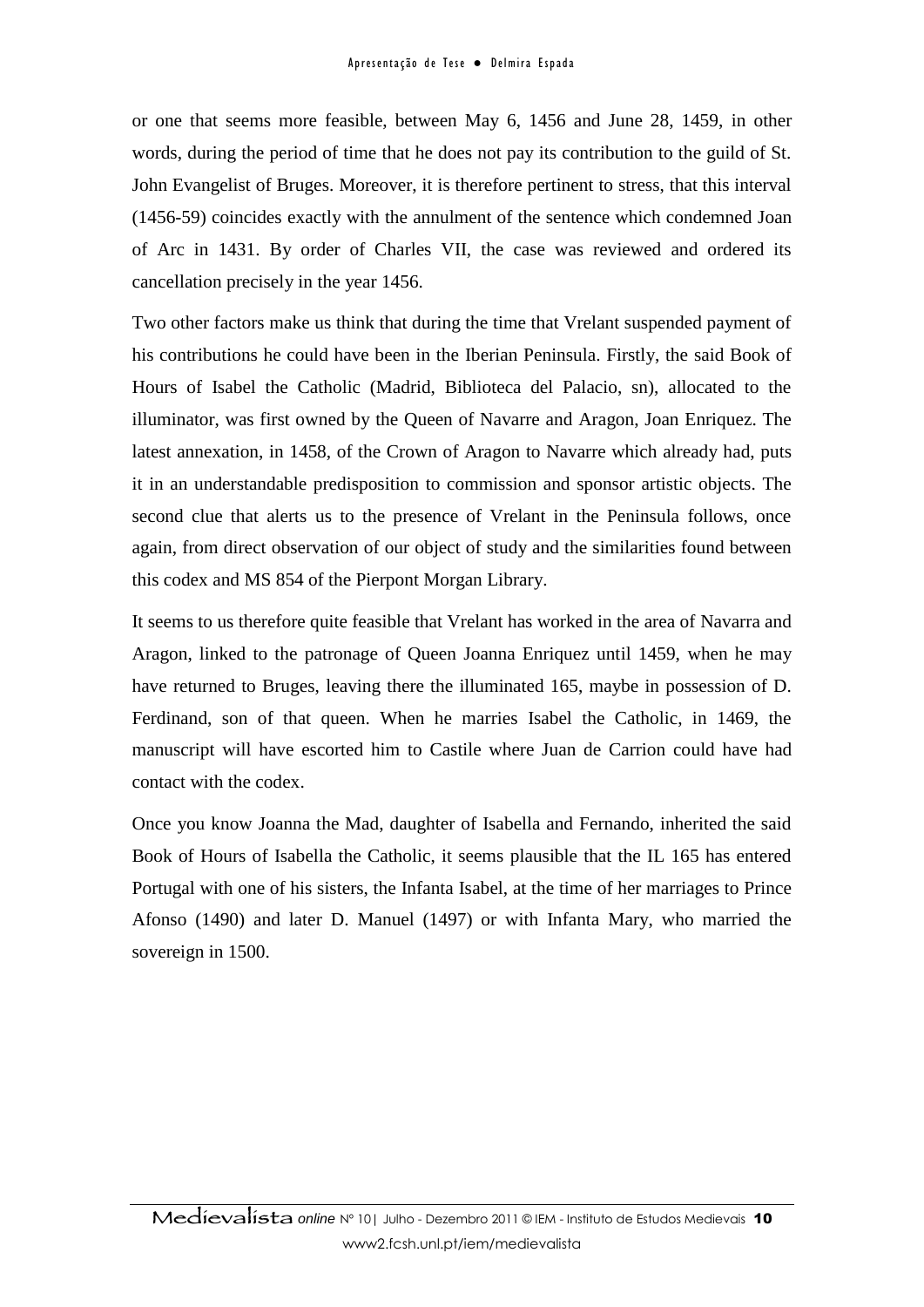or one that seems more feasible, between May 6, 1456 and June 28, 1459, in other words, during the period of time that he does not pay its contribution to the guild of St. John Evangelist of Bruges. Moreover, it is therefore pertinent to stress, that this interval (1456-59) coincides exactly with the annulment of the sentence which condemned Joan of Arc in 1431. By order of Charles VII, the case was reviewed and ordered its cancellation precisely in the year 1456.

Two other factors make us think that during the time that Vrelant suspended payment of his contributions he could have been in the Iberian Peninsula. Firstly, the said Book of Hours of Isabel the Catholic (Madrid, Biblioteca del Palacio, sn), allocated to the illuminator, was first owned by the Queen of Navarre and Aragon, Joan Enriquez. The latest annexation, in 1458, of the Crown of Aragon to Navarre which already had, puts it in an understandable predisposition to commission and sponsor artistic objects. The second clue that alerts us to the presence of Vrelant in the Peninsula follows, once again, from direct observation of our object of study and the similarities found between this codex and MS 854 of the Pierpont Morgan Library.

It seems to us therefore quite feasible that Vrelant has worked in the area of Navarra and Aragon, linked to the patronage of Queen Joanna Enriquez until 1459, when he may have returned to Bruges, leaving there the illuminated 165, maybe in possession of D. Ferdinand, son of that queen. When he marries Isabel the Catholic, in 1469, the manuscript will have escorted him to Castile where Juan de Carrion could have had contact with the codex.

Once you know Joanna the Mad, daughter of Isabella and Fernando, inherited the said Book of Hours of Isabella the Catholic, it seems plausible that the IL 165 has entered Portugal with one of his sisters, the Infanta Isabel, at the time of her marriages to Prince Afonso (1490) and later D. Manuel (1497) or with Infanta Mary, who married the sovereign in 1500.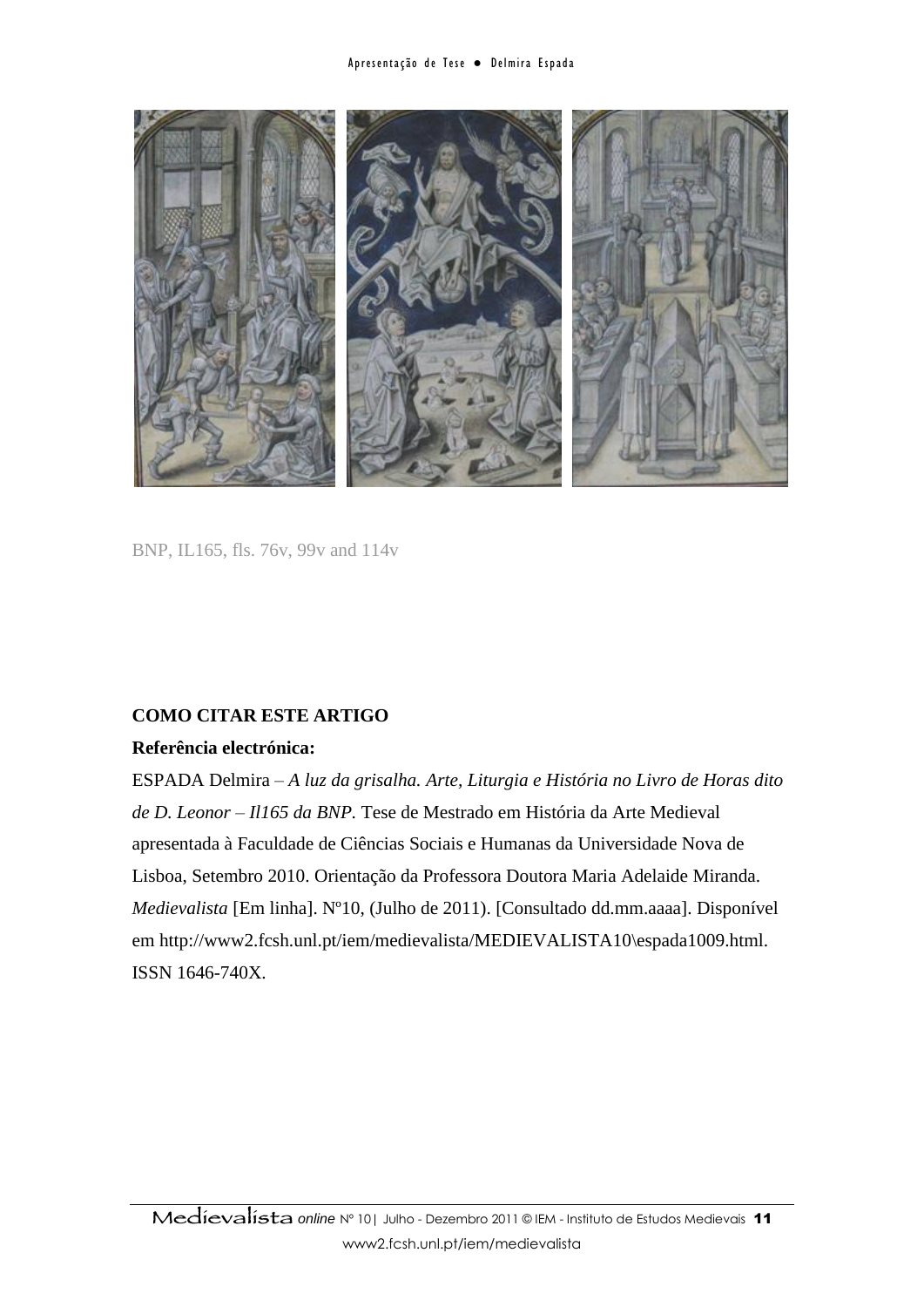

BNP, IL165, fls. 76v, 99v and 114v

#### **COMO CITAR ESTE ARTIGO**

#### **Referência electrónica:**

ESPADA Delmira – *A luz da grisalha. Arte, Liturgia e História no Livro de Horas dito de D. Leonor – Il165 da BNP.* Tese de Mestrado em História da Arte Medieval apresentada à Faculdade de Ciências Sociais e Humanas da Universidade Nova de Lisboa, Setembro 2010. Orientação da Professora Doutora Maria Adelaide Miranda. *Medievalista* [Em linha]. Nº10, (Julho de 2011). [Consultado dd.mm.aaaa]. Disponível em http://www2.fcsh.unl.pt/iem/medievalista/MEDIEVALISTA10\espada1009.html. ISSN 1646-740X.